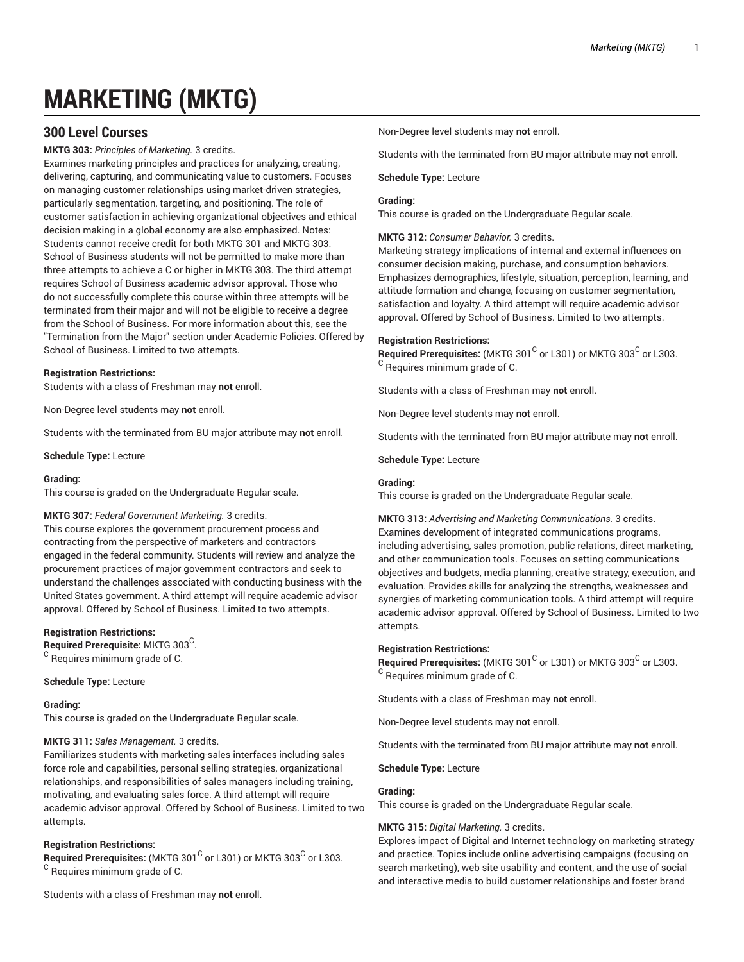# **MARKETING (MKTG)**

# **300 Level Courses**

**MKTG 303:** *Principles of Marketing.* 3 credits.

Examines marketing principles and practices for analyzing, creating, delivering, capturing, and communicating value to customers. Focuses on managing customer relationships using market-driven strategies, particularly segmentation, targeting, and positioning. The role of customer satisfaction in achieving organizational objectives and ethical decision making in a global economy are also emphasized. Notes: Students cannot receive credit for both MKTG 301 and MKTG 303. School of Business students will not be permitted to make more than three attempts to achieve a C or higher in MKTG 303. The third attempt requires School of Business academic advisor approval. Those who do not successfully complete this course within three attempts will be terminated from their major and will not be eligible to receive a degree from the School of Business. For more information about this, see the "Termination from the Major" section under Academic Policies. Offered by School of Business. Limited to two attempts.

#### **Registration Restrictions:**

Students with a class of Freshman may **not** enroll.

Non-Degree level students may **not** enroll.

Students with the terminated from BU major attribute may **not** enroll.

**Schedule Type:** Lecture

#### **Grading:**

This course is graded on the Undergraduate Regular scale.

# **MKTG 307:** *Federal Government Marketing.* 3 credits.

This course explores the government procurement process and contracting from the perspective of marketers and contractors engaged in the federal community. Students will review and analyze the procurement practices of major government contractors and seek to understand the challenges associated with conducting business with the United States government. A third attempt will require academic advisor approval. Offered by School of Business. Limited to two attempts.

#### **Registration Restrictions:**

**Required Prerequisite:** MKTG 303 C .  $^{\mathsf{C}}$  Requires minimum grade of C.

**Schedule Type:** Lecture

#### **Grading:**

This course is graded on the Undergraduate Regular scale.

#### **MKTG 311:** *Sales Management.* 3 credits.

Familiarizes students with marketing-sales interfaces including sales force role and capabilities, personal selling strategies, organizational relationships, and responsibilities of sales managers including training, motivating, and evaluating sales force. A third attempt will require academic advisor approval. Offered by School of Business. Limited to two attempts.

#### **Registration Restrictions:**

**Required Prerequisites:** (MKTG 301<sup>C</sup> or L301) or MKTG 303<sup>C</sup> or L303.  $^{\rm C}$  Requires minimum grade of C.

Students with a class of Freshman may **not** enroll.

Non-Degree level students may **not** enroll.

Students with the terminated from BU major attribute may **not** enroll.

# **Schedule Type:** Lecture

#### **Grading:**

This course is graded on the Undergraduate Regular scale.

**MKTG 312:** *Consumer Behavior.* 3 credits.

Marketing strategy implications of internal and external influences on consumer decision making, purchase, and consumption behaviors. Emphasizes demographics, lifestyle, situation, perception, learning, and attitude formation and change, focusing on customer segmentation, satisfaction and loyalty. A third attempt will require academic advisor approval. Offered by School of Business. Limited to two attempts.

#### **Registration Restrictions:**

Required Prerequisites: (MKTG 301<sup>C</sup> or L301) or MKTG 303<sup>C</sup> or L303. <sup>C</sup> Requires minimum grade of C.

Students with a class of Freshman may **not** enroll.

Non-Degree level students may **not** enroll.

Students with the terminated from BU major attribute may **not** enroll.

**Schedule Type:** Lecture

#### **Grading:**

This course is graded on the Undergraduate Regular scale.

**MKTG 313:** *Advertising and Marketing Communications.* 3 credits. Examines development of integrated communications programs, including advertising, sales promotion, public relations, direct marketing, and other communication tools. Focuses on setting communications objectives and budgets, media planning, creative strategy, execution, and evaluation. Provides skills for analyzing the strengths, weaknesses and synergies of marketing communication tools. A third attempt will require academic advisor approval. Offered by School of Business. Limited to two attempts.

#### **Registration Restrictions:**

Required Prerequisites: (MKTG 301<sup>C</sup> or L301) or MKTG 303<sup>C</sup> or L303. <sup>C</sup> Requires minimum grade of C.

Students with a class of Freshman may **not** enroll.

Non-Degree level students may **not** enroll.

Students with the terminated from BU major attribute may **not** enroll.

**Schedule Type:** Lecture

#### **Grading:**

This course is graded on the Undergraduate Regular scale.

# **MKTG 315:** *Digital Marketing.* 3 credits.

Explores impact of Digital and Internet technology on marketing strategy and practice. Topics include online advertising campaigns (focusing on search marketing), web site usability and content, and the use of social and interactive media to build customer relationships and foster brand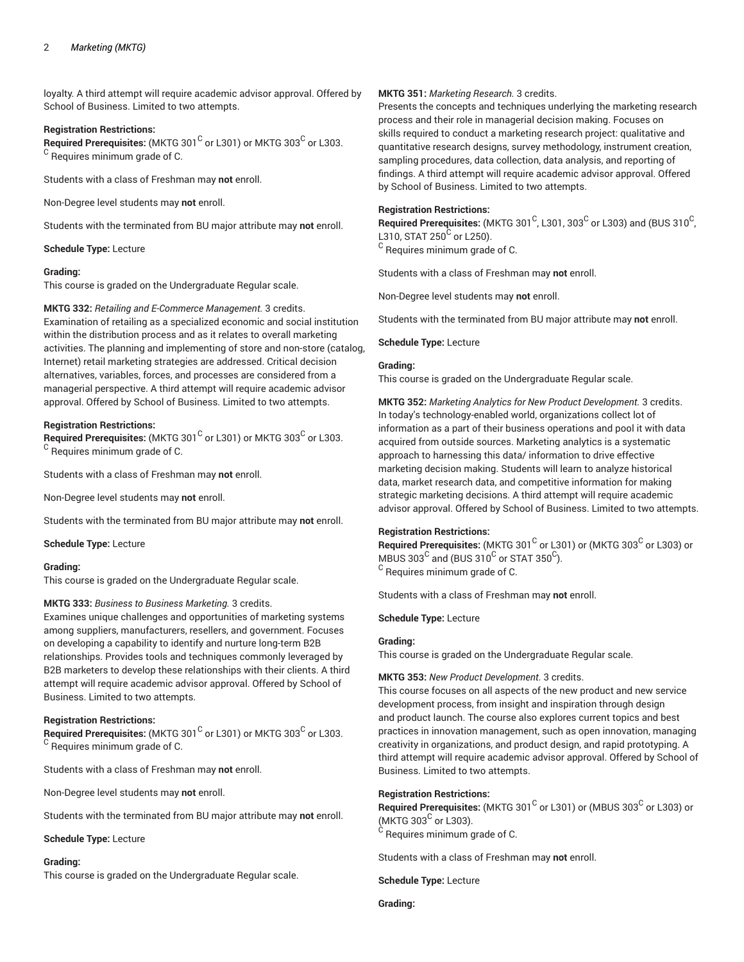loyalty. A third attempt will require academic advisor approval. Offered by School of Business. Limited to two attempts.

#### **Registration Restrictions:**

**Required Prerequisites:** (MKTG 301<sup>C</sup> or L301) or MKTG 303<sup>C</sup> or L303. <sup>C</sup> Requires minimum grade of C.

Students with a class of Freshman may **not** enroll.

Non-Degree level students may **not** enroll.

Students with the terminated from BU major attribute may **not** enroll.

**Schedule Type:** Lecture

# **Grading:**

This course is graded on the Undergraduate Regular scale.

#### **MKTG 332:** *Retailing and E-Commerce Management.* 3 credits.

Examination of retailing as a specialized economic and social institution within the distribution process and as it relates to overall marketing activities. The planning and implementing of store and non-store (catalog, Internet) retail marketing strategies are addressed. Critical decision alternatives, variables, forces, and processes are considered from a managerial perspective. A third attempt will require academic advisor approval. Offered by School of Business. Limited to two attempts.

# **Registration Restrictions:**

**Required Prerequisites:** (MKTG 301<sup>C</sup> or L301) or MKTG 303<sup>C</sup> or L303. <sup>C</sup> Requires minimum grade of C.

Students with a class of Freshman may **not** enroll.

Non-Degree level students may **not** enroll.

Students with the terminated from BU major attribute may **not** enroll.

**Schedule Type:** Lecture

#### **Grading:**

This course is graded on the Undergraduate Regular scale.

# **MKTG 333:** *Business to Business Marketing.* 3 credits.

Examines unique challenges and opportunities of marketing systems among suppliers, manufacturers, resellers, and government. Focuses on developing a capability to identify and nurture long-term B2B relationships. Provides tools and techniques commonly leveraged by B2B marketers to develop these relationships with their clients. A third attempt will require academic advisor approval. Offered by School of Business. Limited to two attempts.

# **Registration Restrictions:**

**Required Prerequisites:** (MKTG 301<sup>C</sup> or L301) or MKTG 303<sup>C</sup> or L303. <sup>C</sup> Requires minimum grade of C.

Students with a class of Freshman may **not** enroll.

Non-Degree level students may **not** enroll.

Students with the terminated from BU major attribute may **not** enroll.

#### **Schedule Type:** Lecture

#### **Grading:**

This course is graded on the Undergraduate Regular scale.

# **MKTG 351:** *Marketing Research.* 3 credits.

Presents the concepts and techniques underlying the marketing research process and their role in managerial decision making. Focuses on skills required to conduct a marketing research project: qualitative and quantitative research designs, survey methodology, instrument creation, sampling procedures, data collection, data analysis, and reporting of findings. A third attempt will require academic advisor approval. Offered by School of Business. Limited to two attempts.

# **Registration Restrictions:**

 $\bf{Required \textit{Prerequisite:}}$  (MKTG 301 $^{\rm C}$ , L301, 303 $^{\rm C}$  or L303) and (BUS 310 $^{\rm C}$ , L310, STAT 250<sup>C</sup> or L250).

 $^{\rm C}$  Requires minimum grade of C.

Students with a class of Freshman may **not** enroll.

Non-Degree level students may **not** enroll.

Students with the terminated from BU major attribute may **not** enroll.

# **Schedule Type:** Lecture

# **Grading:**

This course is graded on the Undergraduate Regular scale.

**MKTG 352:** *Marketing Analytics for New Product Development.* 3 credits. In today's technology-enabled world, organizations collect lot of information as a part of their business operations and pool it with data acquired from outside sources. Marketing analytics is a systematic approach to harnessing this data/ information to drive effective marketing decision making. Students will learn to analyze historical data, market research data, and competitive information for making strategic marketing decisions. A third attempt will require academic advisor approval. Offered by School of Business. Limited to two attempts.

#### **Registration Restrictions:**

 $\mathsf{\mathsf{Required\ Pre} }$  retequisites: (MKTG 301  $^\mathsf{C}$  or L301) or (MKTG 303 $^\mathsf{C}$  or L303) or MBUS 303 $^{\rm C}$  and (BUS 310 $^{\rm C}$  or STAT 350 $^{\rm C}$ ).  $^{\rm C}$  Requires minimum grade of C.

Students with a class of Freshman may **not** enroll.

**Schedule Type:** Lecture

# **Grading:**

This course is graded on the Undergraduate Regular scale.

#### **MKTG 353:** *New Product Development.* 3 credits.

This course focuses on all aspects of the new product and new service development process, from insight and inspiration through design and product launch. The course also explores current topics and best practices in innovation management, such as open innovation, managing creativity in organizations, and product design, and rapid prototyping. A third attempt will require academic advisor approval. Offered by School of Business. Limited to two attempts.

#### **Registration Restrictions:**

 $\mathsf{\mathsf{Required\ Pre} }$  retequisites: (MKTG 301  $^\mathsf{C}$  or L301) or (MBUS 303 $^\mathsf{C}$  or L303) or (MKTG 303<sup>C</sup> or L303).

 $^{\rm C}$  Requires minimum grade of C.

Students with a class of Freshman may **not** enroll.

**Schedule Type:** Lecture

#### **Grading:**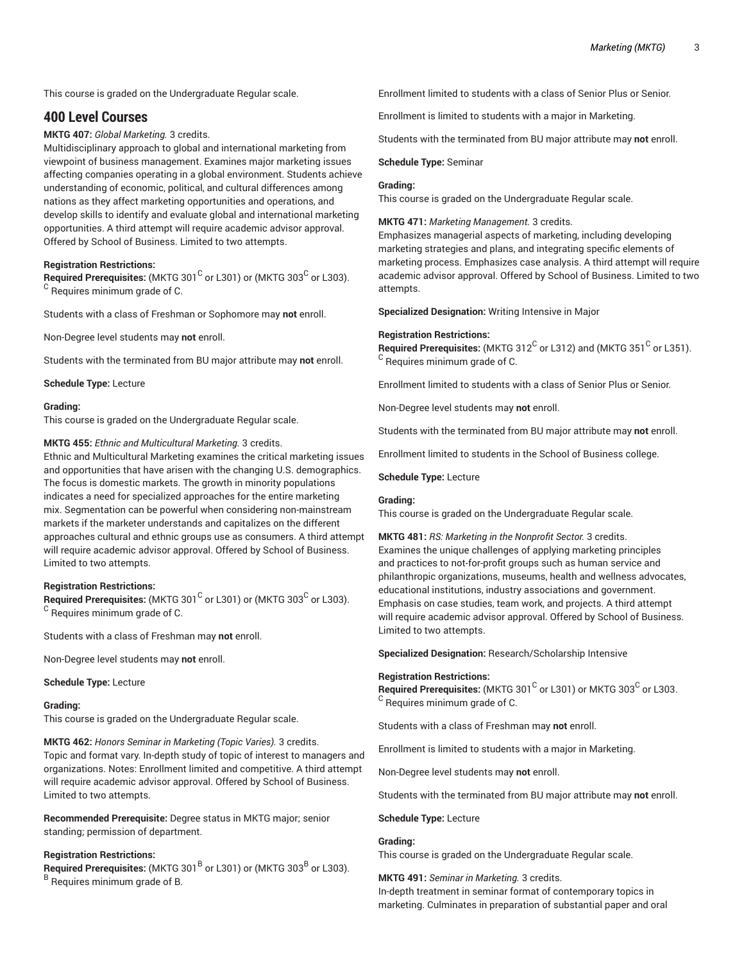This course is graded on the Undergraduate Regular scale.

# **400 Level Courses**

**MKTG 407:** *Global Marketing.* 3 credits.

Multidisciplinary approach to global and international marketing from viewpoint of business management. Examines major marketing issues affecting companies operating in a global environment. Students achieve understanding of economic, political, and cultural differences among nations as they affect marketing opportunities and operations, and develop skills to identify and evaluate global and international marketing opportunities. A third attempt will require academic advisor approval. Offered by School of Business. Limited to two attempts.

#### **Registration Restrictions:**

 $\mathsf{\mathsf{Required\ Pre} }$  reprequisites: (MKTG 301 $^{\mathsf{\mathsf{C}}}$  or L301) or (MKTG 303 $^{\mathsf{\mathsf{C}}}$  or L303). <sup>C</sup> Requires minimum grade of C.

Students with a class of Freshman or Sophomore may **not** enroll.

Non-Degree level students may **not** enroll.

Students with the terminated from BU major attribute may **not** enroll.

**Schedule Type:** Lecture

#### **Grading:**

This course is graded on the Undergraduate Regular scale.

#### **MKTG 455:** *Ethnic and Multicultural Marketing.* 3 credits.

Ethnic and Multicultural Marketing examines the critical marketing issues and opportunities that have arisen with the changing U.S. demographics. The focus is domestic markets. The growth in minority populations indicates a need for specialized approaches for the entire marketing mix. Segmentation can be powerful when considering non-mainstream markets if the marketer understands and capitalizes on the different approaches cultural and ethnic groups use as consumers. A third attempt will require academic advisor approval. Offered by School of Business. Limited to two attempts.

#### **Registration Restrictions:**

 $\mathsf{\mathsf{Required\ Pre} }$  retequisites: (MKTG 301 $^\mathsf{C}$  or L301) or (MKTG 303 $^\mathsf{C}$  or L303). <sup>C</sup> Requires minimum grade of C.

Students with a class of Freshman may **not** enroll.

Non-Degree level students may **not** enroll.

#### **Schedule Type:** Lecture

#### **Grading:**

This course is graded on the Undergraduate Regular scale.

**MKTG 462:** *Honors Seminar in Marketing (Topic Varies).* 3 credits.

Topic and format vary. In-depth study of topic of interest to managers and organizations. Notes: Enrollment limited and competitive. A third attempt will require academic advisor approval. Offered by School of Business. Limited to two attempts.

**Recommended Prerequisite:** Degree status in MKTG major; senior standing; permission of department.

#### **Registration Restrictions:**

**Required Prerequisites:** (MKTG 301<sup>B</sup> or L301) or (MKTG 303<sup>B</sup> or L303). <sup>B</sup> Requires minimum grade of B.

Enrollment limited to students with a class of Senior Plus or Senior.

Enrollment is limited to students with a major in Marketing.

Students with the terminated from BU major attribute may **not** enroll.

#### **Schedule Type:** Seminar

#### **Grading:**

This course is graded on the Undergraduate Regular scale.

**MKTG 471:** *Marketing Management.* 3 credits.

Emphasizes managerial aspects of marketing, including developing marketing strategies and plans, and integrating specific elements of marketing process. Emphasizes case analysis. A third attempt will require academic advisor approval. Offered by School of Business. Limited to two attempts.

**Specialized Designation:** Writing Intensive in Major

#### **Registration Restrictions:**

Required Prerequisites: (MKTG 312 $^{\rm C}$  or L312) and (MKTG 351 $^{\rm C}$  or L351). <sup>C</sup> Requires minimum grade of C.

Enrollment limited to students with a class of Senior Plus or Senior.

Non-Degree level students may **not** enroll.

Students with the terminated from BU major attribute may **not** enroll.

Enrollment limited to students in the School of Business college.

**Schedule Type:** Lecture

# **Grading:**

This course is graded on the Undergraduate Regular scale.

**MKTG 481:** *RS: Marketing in the Nonprofit Sector.* 3 credits. Examines the unique challenges of applying marketing principles and practices to not-for-profit groups such as human service and philanthropic organizations, museums, health and wellness advocates, educational institutions, industry associations and government. Emphasis on case studies, team work, and projects. A third attempt will require academic advisor approval. Offered by School of Business. Limited to two attempts.

**Specialized Designation:** Research/Scholarship Intensive

#### **Registration Restrictions:**

Required Prerequisites: (MKTG 301<sup>C</sup> or L301) or MKTG 303<sup>C</sup> or L303. <sup>C</sup> Requires minimum grade of C.

Students with a class of Freshman may **not** enroll.

Enrollment is limited to students with a major in Marketing.

Non-Degree level students may **not** enroll.

Students with the terminated from BU major attribute may **not** enroll.

**Schedule Type:** Lecture

**Grading:**

This course is graded on the Undergraduate Regular scale.

**MKTG 491:** *Seminar in Marketing.* 3 credits. In-depth treatment in seminar format of contemporary topics in marketing. Culminates in preparation of substantial paper and oral